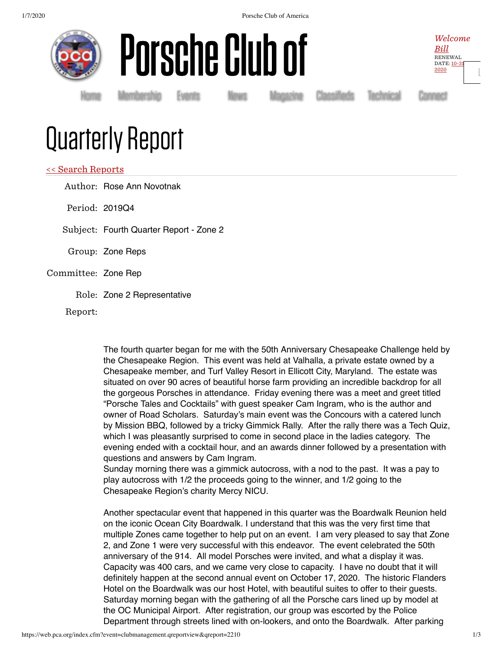



Welcome [Bill](https://www.pca.org/user) RENEWAL [DATE:](https://www.pca.org/user) 10-31 2020

[L](https://web.pca.org/index.cfm?event=general.logout)

[Home](https://www.pca.org/) [Membership](https://www.pca.org/membership) [Events](https://www.pca.org/events) [News](https://www.pca.org/news) [Magazine](https://www.pca.org/panorama/edition/panorama-june-2015) [Classifieds](https://www.pca.org/browse-the-mart-classified-ads) [Technical](https://www.pca.org/technical-question-search) [Connect](https://www.pca.org/contact)

# Quarterly Report

## << Search [Reports](https://web.pca.org/?event=clubmanagement.qreports)

Author: Rose Ann Novotnak Period: 2019Q4

Subject: Fourth Quarter Report - Zone 2

- Group: Zone Reps
- Committee: Zone Rep
	- Role: Zone 2 Representative

Report:

The fourth quarter began for me with the 50th Anniversary Chesapeake Challenge held by the Chesapeake Region. This event was held at Valhalla, a private estate owned by a Chesapeake member, and Turf Valley Resort in Ellicott City, Maryland. The estate was situated on over 90 acres of beautiful horse farm providing an incredible backdrop for all the gorgeous Porsches in attendance. Friday evening there was a meet and greet titled "Porsche Tales and Cocktails" with guest speaker Cam Ingram, who is the author and owner of Road Scholars. Saturday's main event was the Concours with a catered lunch by Mission BBQ, followed by a tricky Gimmick Rally. After the rally there was a Tech Quiz, which I was pleasantly surprised to come in second place in the ladies category. The evening ended with a cocktail hour, and an awards dinner followed by a presentation with questions and answers by Cam Ingram.

Sunday morning there was a gimmick autocross, with a nod to the past. It was a pay to play autocross with 1/2 the proceeds going to the winner, and 1/2 going to the Chesapeake Region's charity Mercy NICU.

Another spectacular event that happened in this quarter was the Boardwalk Reunion held on the iconic Ocean City Boardwalk. I understand that this was the very first time that multiple Zones came together to help put on an event. I am very pleased to say that Zone 2, and Zone 1 were very successful with this endeavor. The event celebrated the 50th anniversary of the 914. All model Porsches were invited, and what a display it was. Capacity was 400 cars, and we came very close to capacity. I have no doubt that it will definitely happen at the second annual event on October 17, 2020. The historic Flanders Hotel on the Boardwalk was our host Hotel, with beautiful suites to offer to their guests. Saturday morning began with the gathering of all the Porsche cars lined up by model at the OC Municipal Airport. After registration, our group was escorted by the Police Department through streets lined with on-lookers, and onto the Boardwalk. After parking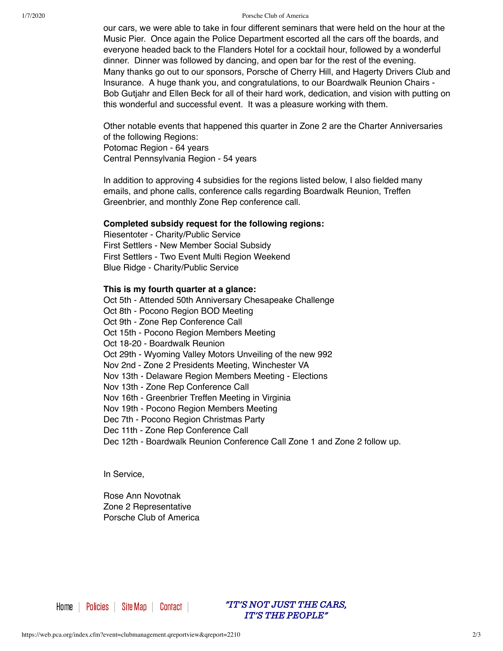#### 1/7/2020 Porsche Club of America

our cars, we were able to take in four different seminars that were held on the hour at the Music Pier. Once again the Police Department escorted all the cars off the boards, and everyone headed back to the Flanders Hotel for a cocktail hour, followed by a wonderful dinner. Dinner was followed by dancing, and open bar for the rest of the evening. Many thanks go out to our sponsors, Porsche of Cherry Hill, and Hagerty Drivers Club and Insurance. A huge thank you, and congratulations, to our Boardwalk Reunion Chairs - Bob Gutjahr and Ellen Beck for all of their hard work, dedication, and vision with putting on this wonderful and successful event. It was a pleasure working with them.

Other notable events that happened this quarter in Zone 2 are the Charter Anniversaries of the following Regions:

Potomac Region - 64 years Central Pennsylvania Region - 54 years

In addition to approving 4 subsidies for the regions listed below, I also fielded many emails, and phone calls, conference calls regarding Boardwalk Reunion, Treffen Greenbrier, and monthly Zone Rep conference call.

### **Completed subsidy request for the following regions:**

Riesentoter - Charity/Public Service First Settlers - New Member Social Subsidy First Settlers - Two Event Multi Region Weekend Blue Ridge - Charity/Public Service

## **This is my fourth quarter at a glance:**

Oct 5th - Attended 50th Anniversary Chesapeake Challenge Oct 8th - Pocono Region BOD Meeting Oct 9th - Zone Rep Conference Call Oct 15th - Pocono Region Members Meeting Oct 18-20 - Boardwalk Reunion Oct 29th - Wyoming Valley Motors Unveiling of the new 992 Nov 2nd - Zone 2 Presidents Meeting, Winchester VA Nov 13th - Delaware Region Members Meeting - Elections Nov 13th - Zone Rep Conference Call Nov 16th - Greenbrier Treffen Meeting in Virginia Nov 19th - Pocono Region Members Meeting Dec 7th - Pocono Region Christmas Party Dec 11th - Zone Rep Conference Call Dec 12th - Boardwalk Reunion Conference Call Zone 1 and Zone 2 follow up.

In Service,

Rose Ann Novotnak Zone 2 Representative Porsche Club of America